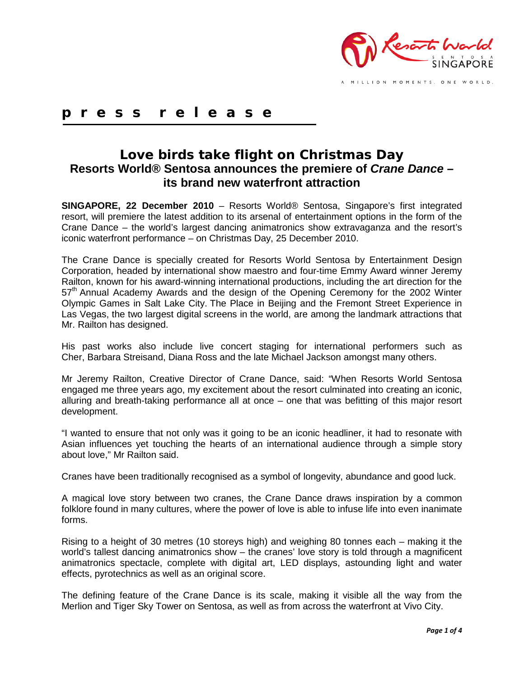

**p r e s s r e l e a s e**

## **Love birds take flight on Christmas Day Resorts World® Sentosa announces the premiere of** *Crane Dance –* **its brand new waterfront attraction**

**SINGAPORE, 22 December 2010** – Resorts World® Sentosa, Singapore's first integrated resort, will premiere the latest addition to its arsenal of entertainment options in the form of the Crane Dance – the world's largest dancing animatronics show extravaganza and the resort's iconic waterfront performance – on Christmas Day, 25 December 2010.

The Crane Dance is specially created for Resorts World Sentosa by Entertainment Design Corporation, headed by international show maestro and four-time Emmy Award winner Jeremy Railton, known for his award-winning international productions, including the art direction for the  $57<sup>th</sup>$  Annual Academy Awards and the design of the Opening Ceremony for the 2002 Winter Olympic Games in Salt Lake City. The Place in Beijing and the Fremont Street Experience in Las Vegas, the two largest digital screens in the world, are among the landmark attractions that Mr. Railton has designed.

His past works also include live concert staging for international performers such as Cher, Barbara Streisand, Diana Ross and the late Michael Jackson amongst many others.

Mr Jeremy Railton, Creative Director of Crane Dance, said: "When Resorts World Sentosa engaged me three years ago, my excitement about the resort culminated into creating an iconic, alluring and breath-taking performance all at once – one that was befitting of this major resort development.

"I wanted to ensure that not only was it going to be an iconic headliner, it had to resonate with Asian influences yet touching the hearts of an international audience through a simple story about love," Mr Railton said.

Cranes have been traditionally recognised as a symbol of longevity, abundance and good luck.

A magical love story between two cranes, the Crane Dance draws inspiration by a common folklore found in many cultures, where the power of love is able to infuse life into even inanimate forms.

Rising to a height of 30 metres (10 storeys high) and weighing 80 tonnes each – making it the world's tallest dancing animatronics show – the cranes' love story is told through a magnificent animatronics spectacle, complete with digital art, LED displays, astounding light and water effects, pyrotechnics as well as an original score.

The defining feature of the Crane Dance is its scale, making it visible all the way from the Merlion and Tiger Sky Tower on Sentosa, as well as from across the waterfront at Vivo City.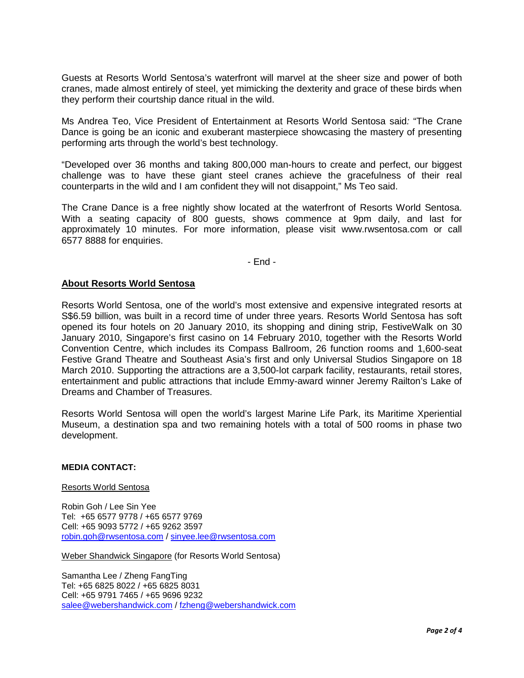Guests at Resorts World Sentosa's waterfront will marvel at the sheer size and power of both cranes, made almost entirely of steel, yet mimicking the dexterity and grace of these birds when they perform their courtship dance ritual in the wild.

Ms Andrea Teo, Vice President of Entertainment at Resorts World Sentosa said*:* "The Crane Dance is going be an iconic and exuberant masterpiece showcasing the mastery of presenting performing arts through the world's best technology.

"Developed over 36 months and taking 800,000 man-hours to create and perfect, our biggest challenge was to have these giant steel cranes achieve the gracefulness of their real counterparts in the wild and I am confident they will not disappoint," Ms Teo said.

The Crane Dance is a free nightly show located at the waterfront of Resorts World Sentosa. With a seating capacity of 800 guests, shows commence at 9pm daily, and last for approximately 10 minutes. For more information, please visit www.rwsentosa.com or call 6577 8888 for enquiries.

- End -

### **About Resorts World Sentosa**

Resorts World Sentosa, one of the world's most extensive and expensive integrated resorts at S\$6.59 billion, was built in a record time of under three years. Resorts World Sentosa has soft opened its four hotels on 20 January 2010, its shopping and dining strip, FestiveWalk on 30 January 2010, Singapore's first casino on 14 February 2010, together with the Resorts World Convention Centre, which includes its Compass Ballroom, 26 function rooms and 1,600-seat Festive Grand Theatre and Southeast Asia's first and only Universal Studios Singapore on 18 March 2010. Supporting the attractions are a 3,500-lot carpark facility, restaurants, retail stores, entertainment and public attractions that include Emmy-award winner Jeremy Railton's Lake of Dreams and Chamber of Treasures.

Resorts World Sentosa will open the world's largest Marine Life Park, its Maritime Xperiential Museum, a destination spa and two remaining hotels with a total of 500 rooms in phase two development.

#### **MEDIA CONTACT:**

#### Resorts World Sentosa

Robin Goh / Lee Sin Yee Tel: +65 6577 9778 / +65 6577 9769 Cell: +65 9093 5772 / +65 9262 3597 [robin.goh@rwsentosa.com](mailto:robin.goh@rwsentosa.com) / [sinyee.lee@rwsentosa.com](mailto:sinyee.lee@rwsentosa.com)

Weber Shandwick Singapore (for Resorts World Sentosa)

Samantha Lee / Zheng FangTing Tel: +65 6825 8022 / +65 6825 8031 Cell: +65 9791 7465 / +65 9696 9232 [salee@webershandwick.com](mailto:salee@webershandwick.com) / [fzheng@webershandwick.com](mailto:fzheng@webershandwick.com)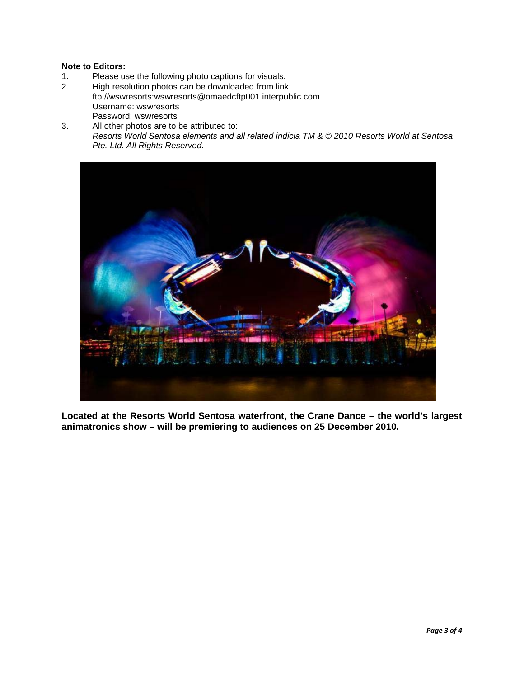# **Note to Editors:**

- Please use the following photo captions for visuals.
- 2. High resolution photos can be downloaded from link: ftp://wswresorts:wswresorts@omaedcftp001.interpublic.com Username: wswresorts Password: wswresorts
- 3. All other photos are to be attributed to: *Resorts World Sentosa elements and all related indicia TM & © 2010 Resorts World at Sentosa Pte. Ltd. All Rights Reserved.*



**Located at the Resorts World Sentosa waterfront, the Crane Dance – the world's largest animatronics show – will be premiering to audiences on 25 December 2010.**